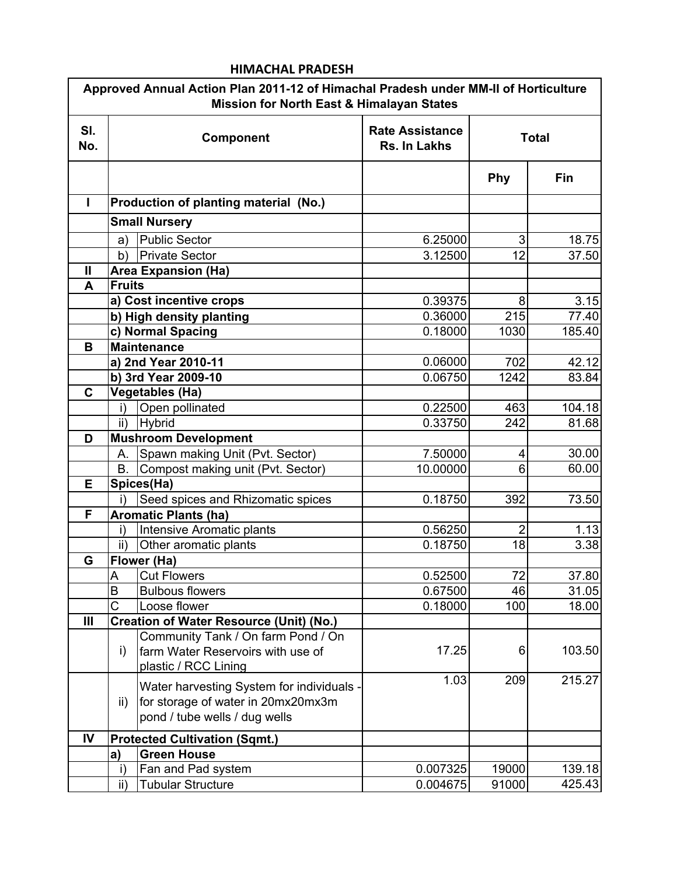|                | Approved Annual Action Plan 2011-12 of Himachal Pradesh under MM-II of Horticulture<br><b>Mission for North East &amp; Himalayan States</b> |                                        |                |                |  |  |
|----------------|---------------------------------------------------------------------------------------------------------------------------------------------|----------------------------------------|----------------|----------------|--|--|
| SI.<br>No.     | Component                                                                                                                                   | <b>Rate Assistance</b><br>Rs. In Lakhs | <b>Total</b>   |                |  |  |
|                |                                                                                                                                             |                                        | Phy            | Fin            |  |  |
| L              | Production of planting material (No.)                                                                                                       |                                        |                |                |  |  |
|                | <b>Small Nursery</b>                                                                                                                        |                                        |                |                |  |  |
|                | <b>Public Sector</b><br>a)                                                                                                                  | 6.25000                                | 3              | 18.75          |  |  |
|                | <b>Private Sector</b><br>b)                                                                                                                 | 3.12500                                | 12             | 37.50          |  |  |
| Ш              | <b>Area Expansion (Ha)</b>                                                                                                                  |                                        |                |                |  |  |
| A              | <b>Fruits</b>                                                                                                                               |                                        |                |                |  |  |
|                | a) Cost incentive crops                                                                                                                     | 0.39375                                | 8              | 3.15           |  |  |
|                | b) High density planting                                                                                                                    | 0.36000                                | 215            | 77.40          |  |  |
|                | c) Normal Spacing                                                                                                                           | 0.18000                                | 1030           | 185.40         |  |  |
| B              | <b>Maintenance</b>                                                                                                                          |                                        |                |                |  |  |
|                | a) 2nd Year 2010-11                                                                                                                         | 0.06000                                | 702            | 42.12          |  |  |
|                | b) 3rd Year 2009-10                                                                                                                         | 0.06750                                | 1242           | 83.84          |  |  |
| $\mathbf{C}$   | <b>Vegetables (Ha)</b>                                                                                                                      |                                        |                |                |  |  |
|                | Open pollinated<br>i)                                                                                                                       | 0.22500                                | 463            | 104.18         |  |  |
|                | <b>Hybrid</b><br>ii)                                                                                                                        | 0.33750                                | 242            | 81.68          |  |  |
| D              | <b>Mushroom Development</b>                                                                                                                 |                                        |                |                |  |  |
|                | Spawn making Unit (Pvt. Sector)<br>А.                                                                                                       | 7.50000                                | 4              | 30.00          |  |  |
|                | Compost making unit (Pvt. Sector)<br><b>B.</b>                                                                                              | 10.00000                               | 6              | 60.00          |  |  |
| Е              | Spices(Ha)                                                                                                                                  |                                        |                |                |  |  |
|                | Seed spices and Rhizomatic spices                                                                                                           | 0.18750                                | 392            | 73.50          |  |  |
| F              | <b>Aromatic Plants (ha)</b>                                                                                                                 |                                        |                |                |  |  |
|                | Intensive Aromatic plants                                                                                                                   | 0.56250                                | $\overline{2}$ | 1.13           |  |  |
|                | ii)<br>Other aromatic plants                                                                                                                | 0.18750                                | 18             | 3.38           |  |  |
| G              | Flower (Ha)                                                                                                                                 |                                        |                |                |  |  |
|                | A<br><b>Cut Flowers</b><br>B<br><b>Bulbous flowers</b>                                                                                      | 0.52500<br>0.67500                     | 72<br>46       | 37.80<br>31.05 |  |  |
|                | Ć<br>Loose flower                                                                                                                           | 0.18000                                | 100            | 18.00          |  |  |
| $\mathbf{III}$ | <b>Creation of Water Resource (Unit) (No.)</b>                                                                                              |                                        |                |                |  |  |
|                | Community Tank / On farm Pond / On                                                                                                          |                                        |                |                |  |  |
|                | farm Water Reservoirs with use of<br>i)                                                                                                     | 17.25                                  | 6              | 103.50         |  |  |
|                | plastic / RCC Lining                                                                                                                        |                                        |                |                |  |  |
|                |                                                                                                                                             | 1.03                                   | 209            | 215.27         |  |  |
|                | Water harvesting System for individuals -                                                                                                   |                                        |                |                |  |  |
|                | for storage of water in 20mx20mx3m<br>$\mathsf{ii}$<br>pond / tube wells / dug wells                                                        |                                        |                |                |  |  |
|                |                                                                                                                                             |                                        |                |                |  |  |
| IV             | <b>Protected Cultivation (Sqmt.)</b>                                                                                                        |                                        |                |                |  |  |
|                | <b>Green House</b><br>a)                                                                                                                    |                                        |                |                |  |  |
|                | Fan and Pad system                                                                                                                          | 0.007325                               | 19000          | 139.18         |  |  |
|                | $\mathsf{ii}$ )<br><b>Tubular Structure</b>                                                                                                 | 0.004675                               | 91000          | 425.43         |  |  |

## HIMACHAL PRADESH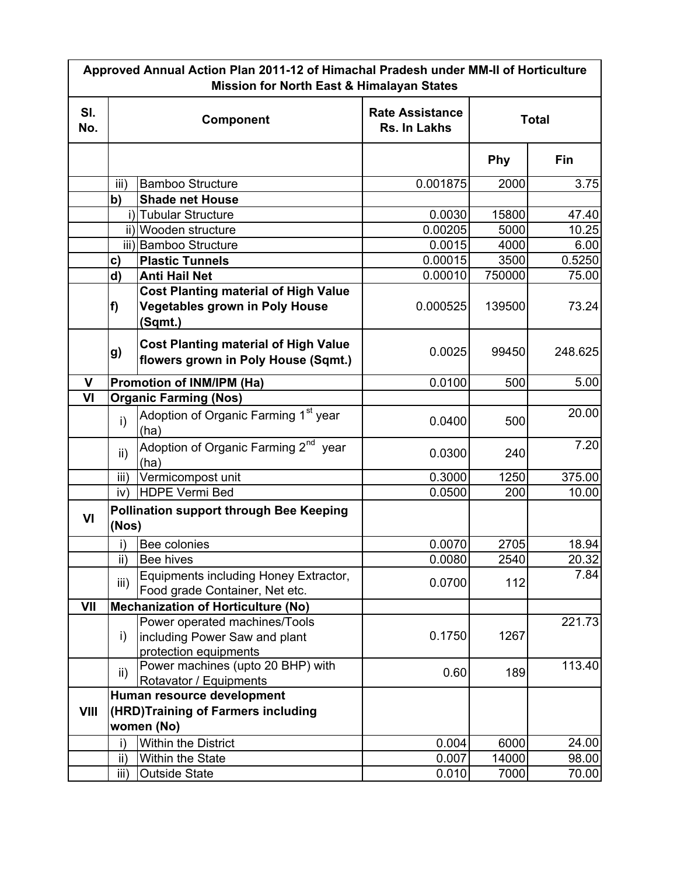| Approved Annual Action Plan 2011-12 of Himachal Pradesh under MM-II of Horticulture<br><b>Mission for North East &amp; Himalayan States</b> |                                           |                                                                                                 |                                                        |            |            |  |
|---------------------------------------------------------------------------------------------------------------------------------------------|-------------------------------------------|-------------------------------------------------------------------------------------------------|--------------------------------------------------------|------------|------------|--|
| SI.<br>No.                                                                                                                                  | Component                                 |                                                                                                 | <b>Rate Assistance</b><br><b>Total</b><br>Rs. In Lakhs |            |            |  |
|                                                                                                                                             |                                           |                                                                                                 |                                                        | <b>Phy</b> | <b>Fin</b> |  |
|                                                                                                                                             | iii)                                      | <b>Bamboo Structure</b>                                                                         | 0.001875                                               | 2000       | 3.75       |  |
|                                                                                                                                             | b)                                        | <b>Shade net House</b>                                                                          |                                                        |            |            |  |
|                                                                                                                                             |                                           | i) Tubular Structure                                                                            | 0.0030                                                 | 15800      | 47.40      |  |
|                                                                                                                                             |                                           | ii) Wooden structure                                                                            | 0.00205                                                | 5000       | 10.25      |  |
|                                                                                                                                             |                                           | iii) Bamboo Structure                                                                           | 0.0015                                                 | 4000       | 6.00       |  |
|                                                                                                                                             | c)                                        | <b>Plastic Tunnels</b>                                                                          | 0.00015                                                | 3500       | 0.5250     |  |
|                                                                                                                                             | d)                                        | <b>Anti Hail Net</b>                                                                            | 0.00010                                                | 750000     | 75.00      |  |
|                                                                                                                                             | f)                                        | <b>Cost Planting material of High Value</b><br><b>Vegetables grown in Poly House</b><br>(Sqmt.) | 0.000525                                               | 139500     | 73.24      |  |
|                                                                                                                                             | g)                                        | <b>Cost Planting material of High Value</b><br>flowers grown in Poly House (Sqmt.)              | 0.0025                                                 | 99450      | 248.625    |  |
| $\mathbf{V}$                                                                                                                                |                                           | Promotion of INM/IPM (Ha)                                                                       | 0.0100                                                 | 500        | 5.00       |  |
| V <sub>l</sub>                                                                                                                              |                                           | <b>Organic Farming (Nos)</b>                                                                    |                                                        |            |            |  |
|                                                                                                                                             | i)                                        | Adoption of Organic Farming 1 <sup>st</sup> year<br>(ha)                                        | 0.0400                                                 | 500        | 20.00      |  |
|                                                                                                                                             | ii)                                       | Adoption of Organic Farming 2 <sup>nd</sup> year<br>(ha)                                        | 0.0300                                                 | 240        | 7.20       |  |
|                                                                                                                                             | iii)                                      | Vermicompost unit                                                                               | 0.3000                                                 | 1250       | 375.00     |  |
|                                                                                                                                             | iv)                                       | <b>HDPE Vermi Bed</b>                                                                           | 0.0500                                                 | 200        | 10.00      |  |
| VI                                                                                                                                          | (Nos)                                     | <b>Pollination support through Bee Keeping</b>                                                  |                                                        |            |            |  |
|                                                                                                                                             | i)                                        | Bee colonies                                                                                    | 0.0070                                                 | 2705       | 18.94      |  |
|                                                                                                                                             | II)                                       | <b>Bee hives</b>                                                                                | 0.0080                                                 | 2540       | 20.32      |  |
|                                                                                                                                             | iii)                                      | Equipments including Honey Extractor,<br>Food grade Container, Net etc.                         | 0.0700                                                 | 112        | 7.84       |  |
| VII                                                                                                                                         | <b>Mechanization of Horticulture (No)</b> |                                                                                                 |                                                        |            |            |  |
|                                                                                                                                             | i)                                        | Power operated machines/Tools<br>including Power Saw and plant<br>protection equipments         | 0.1750                                                 | 1267       | 221.73     |  |
|                                                                                                                                             | ii)                                       | Power machines (upto 20 BHP) with<br>Rotavator / Equipments                                     | 0.60                                                   | 189        | 113.40     |  |
| VIII                                                                                                                                        |                                           | Human resource development<br>(HRD)Training of Farmers including<br>women (No)                  |                                                        |            |            |  |
|                                                                                                                                             | i)                                        | Within the District                                                                             | 0.004                                                  | 6000       | 24.00      |  |
|                                                                                                                                             | ii)                                       | <b>Within the State</b>                                                                         | 0.007                                                  | 14000      | 98.00      |  |
|                                                                                                                                             | iii)                                      | <b>Outside State</b>                                                                            | 0.010                                                  | 7000       | 70.00      |  |